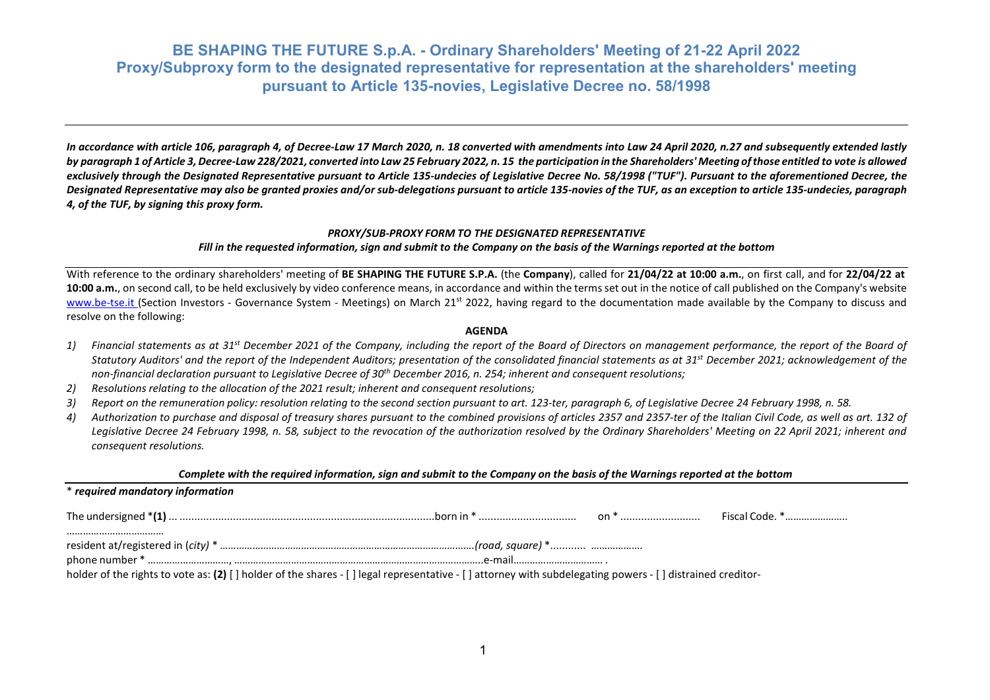*In accordance with article 106, paragraph 4, of Decree-Law 17 March 2020, n. 18 converted with amendments into Law 24 April 2020, n.27 and subsequently extended lastly* by paragraph 1 of Article 3, Decree-Law 228/2021, converted into Law 25 February 2022, n. 15 the participation in the Shareholders' Meeting of those entitled to vote is allowed exclusively through the Designated Representative pursuant to Article 135-undecies of Legislative Decree No. 58/1998 ("TUF"). Pursuant to the aforementioned Decree, the *Designated Representative may also be granted proxies and/or sub-delegations pursuant to article 135-novies of the TUF, as an exception to article 135-undecies, paragraph 4, of the TUF, by signing this proxy form.*

#### *PROXY/SUB-PROXY FORM TO THE DESIGNATED REPRESENTATIVE*

### Fill in the reauested information, sian and submit to the Company on the basis of the Warninas reported at the bottom

With reference to the ordinary shareholders' meeting of BE SHAPING THE FUTURE S.P.A. (the Company), called for 21/04/22 at 10:00 a.m., on first call, and for 22/04/22 at **10:00 a.m.**, on second call, to be held exclusively by video conference means, in accordance and within the terms set out in the notice of call published on the Company's website www.be-tse.it (Section Investors - Governance System - Meetings) on March 21<sup>st</sup> 2022, having regard to the documentation made available by the Company to discuss and resolve on the following:

#### **AGENDA**

- *1) Financial statements as at 31st December 2021 of the Company, including the report of the Board of Directors on management performance, the report of the Board of Statutory Auditors' and the report of the Independent Auditors; presentation of the consolidated financial statements as at 31st December 2021; acknowledgement of the non-financial declaration pursuant to Legislative Decree of 30th December 2016, n. 254; inherent and consequent resolutions;*
- *2) Resolutions relating to the allocation of the 2021 result; inherent and consequent resolutions;*
- 3) Report on the remuneration policy: resolution relating to the second section pursuant to art. 123-ter, paragraph 6, of Legislative Decree 24 February 1998, n. 58.
- *4) Authorization to purchase and disposal of treasury shares pursuant to the combined provisions of articles 2357 and 2357-ter of the Italian Civil Code, as well as art. 132 of Legislative Decree 24 February 1998, n. 58, subject to the revocation of the authorization resolved by the Ordinary Shareholders' Meeting on 22 April 2021; inherent and consequent resolutions.*

#### Complete with the required information, sign and submit to the Company on the basis of the Warnings reported at the bottom

| <i>* required mandatory information</i>                                                                                                                  |  |  |  |  |  |
|----------------------------------------------------------------------------------------------------------------------------------------------------------|--|--|--|--|--|
|                                                                                                                                                          |  |  |  |  |  |
|                                                                                                                                                          |  |  |  |  |  |
| holder of the rights to vote as: (2) [] holder of the shares - [] legal representative - [] attorney with subdelegating powers - [] distrained creditor- |  |  |  |  |  |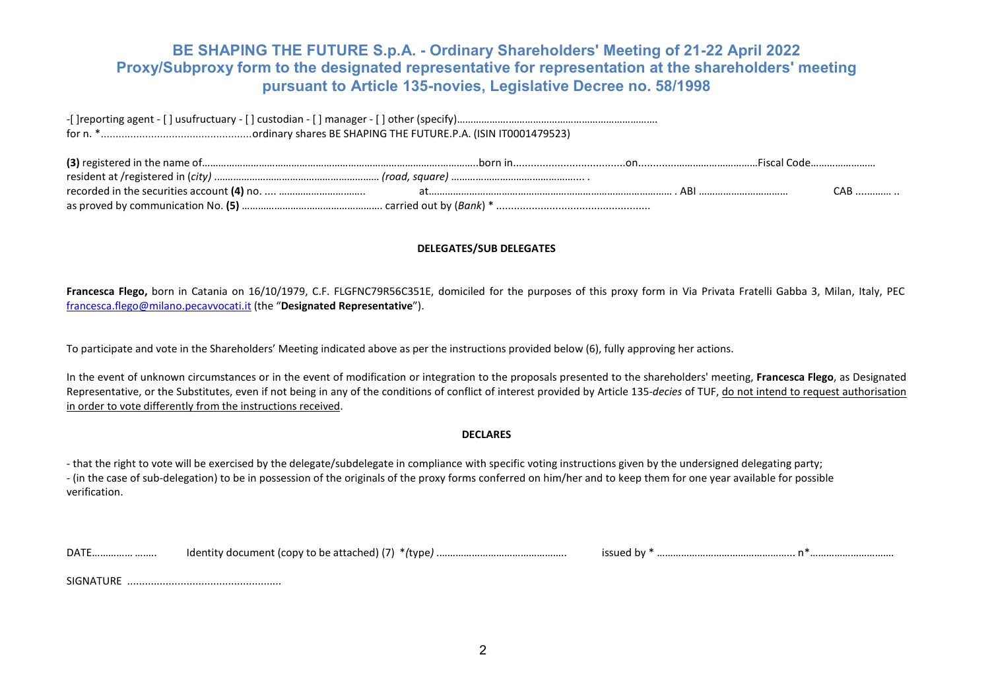-[ ]reporting agent - [ ] usufructuary - [ ] custodian - [ ] manager - [ ] other (specify)……………….………………………………………………. for n. \*...................................................ordinary shares BE SHAPING THE FUTURE.P.A. (ISIN IT0001479523)

|  | Fiscal Code |
|--|-------------|
|  |             |
|  |             |
|  |             |

## **DELEGATES/SUB DELEGATES**

**Francesca Flego,** born in Catania on 16/10/1979, C.F. FLGFNC79R56C351E, domiciled for the purposes of this proxy form in Via Privata Fratelli Gabba 3, Milan, Italy, PEC [francesca.flego@milano.pecavvocati.it](mailto:francesca.flego@milano.pecavvocati.it) (the "**Designated Representative**").

To participate and vote in the Shareholders' Meeting indicated above as per the instructions provided below (6), fully approving her actions.

In the event of unknown circumstances or in the event of modification or integration to the proposals presented to the shareholders' meeting, **Francesca Flego**, as Designated Representative, or the Substitutes, even if not being in any of the conditions of conflict of interest provided by Article 135-*decies* of TUF, do not intend to request authorisation in order to vote differently from the instructions received.

## **DECLARES**

- that the right to vote will be exercised by the delegate/subdelegate in compliance with specific voting instructions given by the undersigned delegating party; - (in the case of sub-delegation) to be in possession of the originals of the proxy forms conferred on him/her and to keep them for one year available for possible verification.

| DATE | .<br>'tvne.<br>Taent<br>ument<br>.conv<br>' to be attacl<br>.<br>. |  | <br> |
|------|--------------------------------------------------------------------|--|------|
|------|--------------------------------------------------------------------|--|------|

SIGNATURE ....................................................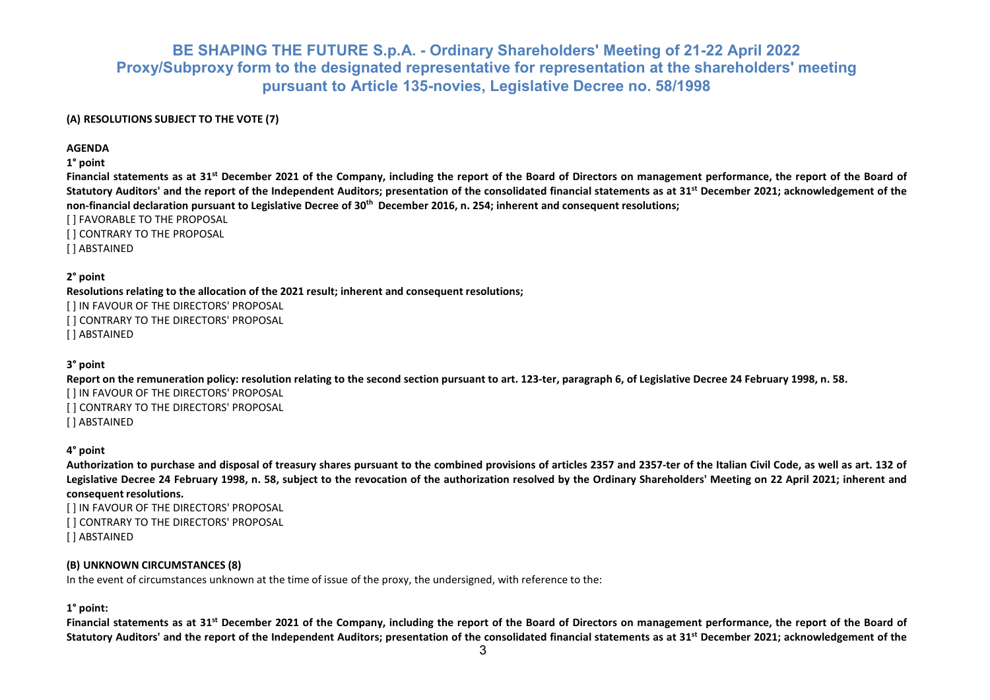## **(A) RESOLUTIONS SUBJECT TO THE VOTE (7)**

**AGENDA**

**1° point**

**Financial statements as at 31st December 2021 of the Company, including the report of the Board of Directors on management performance, the report of the Board of Statutory Auditors' and the report of the Independent Auditors; presentation of the consolidated financial statements as at 31st December 2021; acknowledgement of the** non-financial declaration pursuant to Legislative Decree of 30<sup>th</sup> December 2016, n. 254; inherent and consequent resolutions;

[ ] FAVORABLE TO THE PROPOSAL [ ] CONTRARY TO THE PROPOSAL

[ ] ABSTAINED

**2° point**

**Resolutions relating to the allocation of the 2021 result; inherent and consequent resolutions;**

[ ] IN FAVOUR OF THE DIRECTORS' PROPOSAL [ ] CONTRARY TO THE DIRECTORS' PROPOSAL [ ] ABSTAINED

## **3° point**

**Report on the remuneration policy: resolution relating to the second section pursuant to art. 123-ter, paragraph 6, of Legislative Decree 24 February 1998, n. 58.** [ ] IN FAVOUR OF THE DIRECTORS' PROPOSAL [ ] CONTRARY TO THE DIRECTORS' PROPOSAL [ ] ABSTAINED

## **4° point**

**Authorization to purchase and disposal of treasury shares pursuant to the combined provisions of articles 2357 and 2357-ter of the Italian Civil Code, as well as art. 132 of Legislative Decree 24 February 1998, n. 58, subject to the revocation of the authorization resolved by the Ordinary Shareholders' Meeting on 22 April 2021; inherent and consequent resolutions.**

[ ] IN FAVOUR OF THE DIRECTORS' PROPOSAL [ ] CONTRARY TO THE DIRECTORS' PROPOSAL [ ] ABSTAINED

## **(B) UNKNOWN CIRCUMSTANCES (8)**

In the event of circumstances unknown at the time of issue of the proxy, the undersigned, with reference to the:

## **1° point:**

**Financial statements as at 31st December 2021 of the Company, including the report of the Board of Directors on management performance, the report of the Board of Statutory Auditors' and the report of the Independent Auditors; presentation of the consolidated financial statements as at 31st December 2021; acknowledgement of the**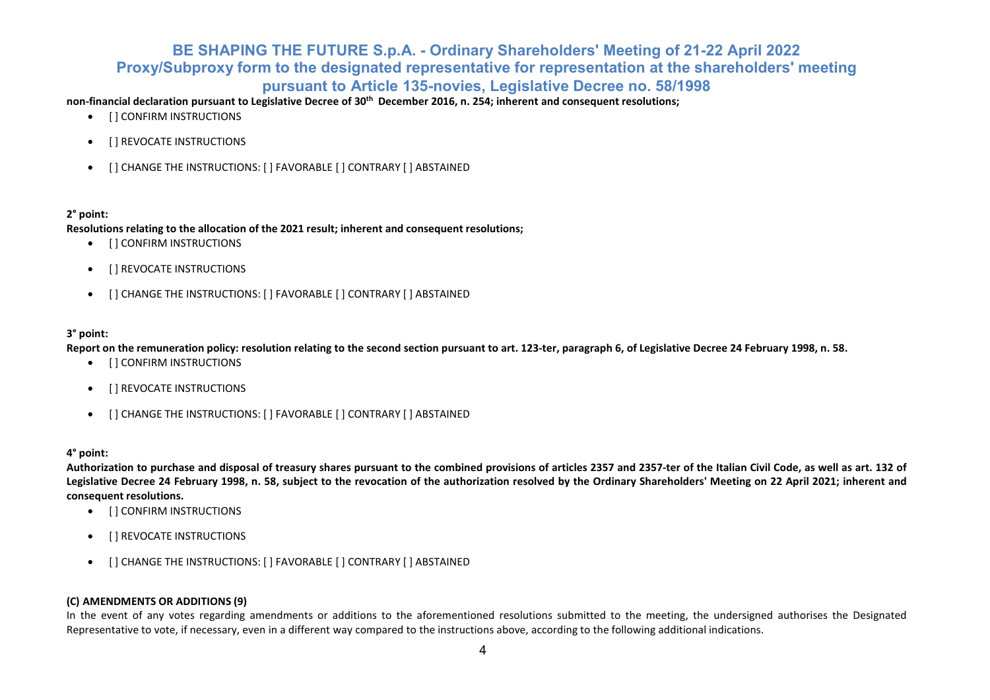non-financial declaration pursuant to Legislative Decree of 30<sup>th</sup> December 2016, n. 254; inherent and consequent resolutions;

- [ ] CONFIRM INSTRUCTIONS
- [ ] REVOCATE INSTRUCTIONS
- [ ] CHANGE THE INSTRUCTIONS: [ ] FAVORABLE [ ] CONTRARY [ ] ABSTAINED

## **2° point:**

**Resolutions relating to the allocation of the 2021 result; inherent and consequent resolutions;**

- [ ] CONFIRM INSTRUCTIONS
- [ ] REVOCATE INSTRUCTIONS
- [ ] CHANGE THE INSTRUCTIONS: [ ] FAVORABLE [ ] CONTRARY [ ] ABSTAINED

## **3° point:**

**Report on the remuneration policy: resolution relating to the second section pursuant to art. 123-ter, paragraph 6, of Legislative Decree 24 February 1998, n. 58.**

- [ ] CONFIRM INSTRUCTIONS
- [ ] REVOCATE INSTRUCTIONS
- [ ] CHANGE THE INSTRUCTIONS: [ ] FAVORABLE [ ] CONTRARY [ ] ABSTAINED

## **4° point:**

**Authorization to purchase and disposal of treasury shares pursuant to the combined provisions of articles 2357 and 2357-ter of the Italian Civil Code, as well as art. 132 of Legislative Decree 24 February 1998, n. 58, subject to the revocation of the authorization resolved by the Ordinary Shareholders' Meeting on 22 April 2021; inherent and consequent resolutions.**

- [ ] CONFIRM INSTRUCTIONS
- [ ] REVOCATE INSTRUCTIONS
- [ ] CHANGE THE INSTRUCTIONS: [ ] FAVORABLE [ ] CONTRARY [ ] ABSTAINED

## **(C) AMENDMENTS OR ADDITIONS (9)**

In the event of any votes regarding amendments or additions to the aforementioned resolutions submitted to the meeting, the undersigned authorises the Designated Representative to vote, if necessary, even in a different way compared to the instructions above, according to the following additional indications.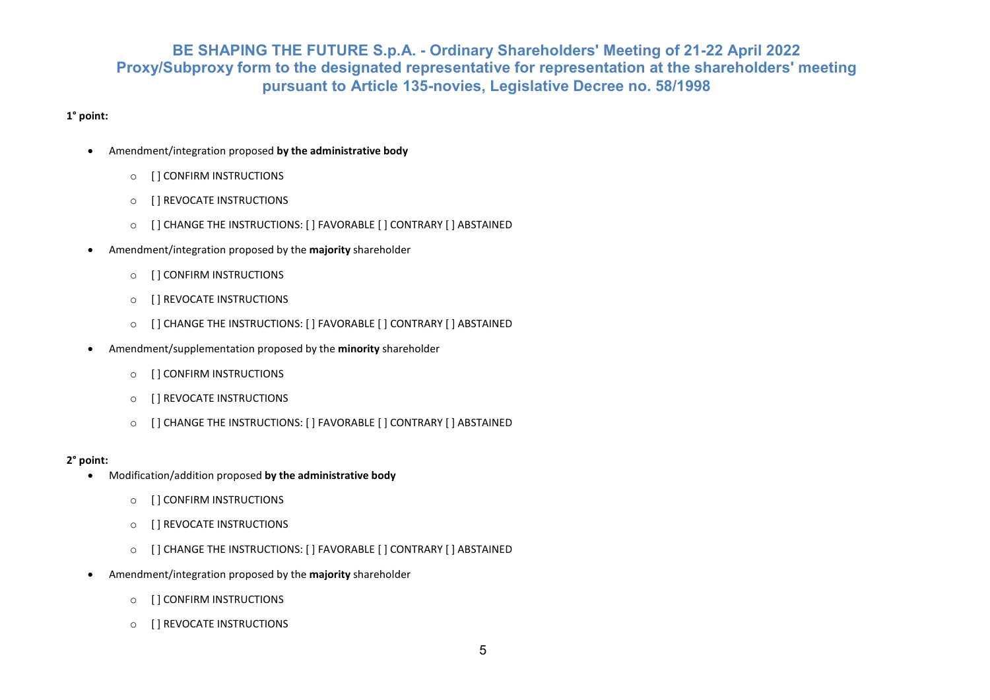## **1° point:**

- Amendment/integration proposed **by the administrative body**
	- o [ ] CONFIRM INSTRUCTIONS
	- o [ ] REVOCATE INSTRUCTIONS
	- o [ ] CHANGE THE INSTRUCTIONS: [ ] FAVORABLE [ ] CONTRARY [ ] ABSTAINED
- Amendment/integration proposed by the **majority** shareholder
	- o [ ] CONFIRM INSTRUCTIONS
	- o [ ] REVOCATE INSTRUCTIONS
	- o [ ] CHANGE THE INSTRUCTIONS: [ ] FAVORABLE [ ] CONTRARY [ ] ABSTAINED
- Amendment/supplementation proposed by the **minority** shareholder
	- o [ ] CONFIRM INSTRUCTIONS
	- o [ ] REVOCATE INSTRUCTIONS
	- o [ ] CHANGE THE INSTRUCTIONS: [ ] FAVORABLE [ ] CONTRARY [ ] ABSTAINED

## **2° point:**

- Modification/addition proposed **by the administrative body**
	- o [ ] CONFIRM INSTRUCTIONS
	- o [ ] REVOCATE INSTRUCTIONS
	- o [ ] CHANGE THE INSTRUCTIONS: [ ] FAVORABLE [ ] CONTRARY [ ] ABSTAINED
- Amendment/integration proposed by the **majority** shareholder
	- o [ ] CONFIRM INSTRUCTIONS
	- o [ ] REVOCATE INSTRUCTIONS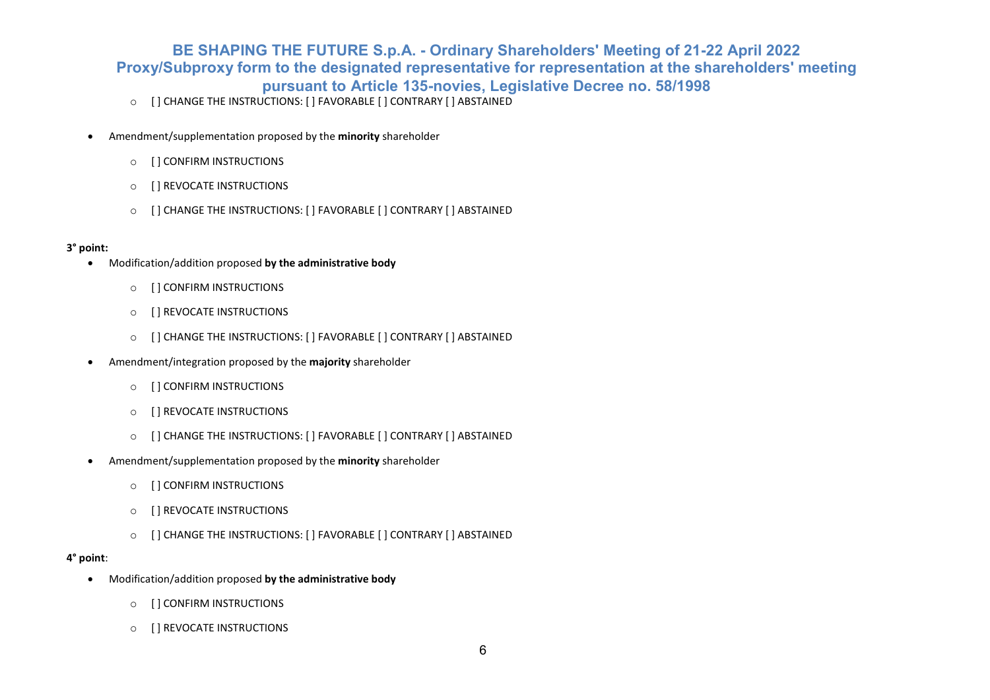- o [ ] CHANGE THE INSTRUCTIONS: [ ] FAVORABLE [ ] CONTRARY [ ] ABSTAINED
- Amendment/supplementation proposed by the **minority** shareholder
	- o [ ] CONFIRM INSTRUCTIONS
	- o [ ] REVOCATE INSTRUCTIONS
	- o [ ] CHANGE THE INSTRUCTIONS: [ ] FAVORABLE [ ] CONTRARY [ ] ABSTAINED

## **3° point:**

- Modification/addition proposed **by the administrative body**
	- o [ ] CONFIRM INSTRUCTIONS
	- o [ ] REVOCATE INSTRUCTIONS
	- o [ ] CHANGE THE INSTRUCTIONS: [ ] FAVORABLE [ ] CONTRARY [ ] ABSTAINED
- Amendment/integration proposed by the **majority** shareholder
	- o [ ] CONFIRM INSTRUCTIONS
	- o [ ] REVOCATE INSTRUCTIONS
	- o [ ] CHANGE THE INSTRUCTIONS: [ ] FAVORABLE [ ] CONTRARY [ ] ABSTAINED
- Amendment/supplementation proposed by the **minority** shareholder
	- o [ ] CONFIRM INSTRUCTIONS
	- o [ ] REVOCATE INSTRUCTIONS
	- o [ ] CHANGE THE INSTRUCTIONS: [ ] FAVORABLE [ ] CONTRARY [ ] ABSTAINED

## **4° point**:

- Modification/addition proposed **by the administrative body**
	- o [ ] CONFIRM INSTRUCTIONS
	- o [ ] REVOCATE INSTRUCTIONS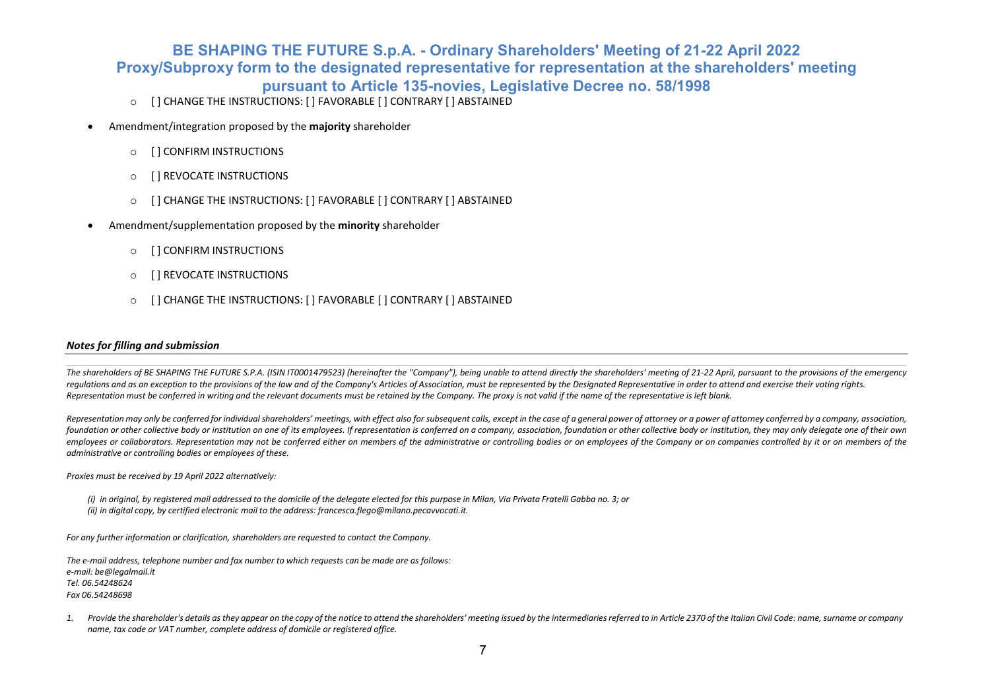- o [ ] CHANGE THE INSTRUCTIONS: [ ] FAVORABLE [ ] CONTRARY [ ] ABSTAINED
- Amendment/integration proposed by the **majority** shareholder
	- o [ ] CONFIRM INSTRUCTIONS
	- o [ ] REVOCATE INSTRUCTIONS
	- o [ ] CHANGE THE INSTRUCTIONS: [ ] FAVORABLE [ ] CONTRARY [ ] ABSTAINED
- Amendment/supplementation proposed by the **minority** shareholder
	- o [ ] CONFIRM INSTRUCTIONS
	- o [ ] REVOCATE INSTRUCTIONS
	- [ ] CHANGE THE INSTRUCTIONS: [ ] FAVORABLE [ ] CONTRARY [ ] ABSTAINED

### *Notes for filling and submission*

*The shareholders of BE SHAPING THE FUTURE S.P.A. (ISIN IT0001479523) (hereinafter the "Company"), being unable to attend directly the shareholders' meeting of 21-22 April, pursuant to the provisions of the emergency* requlations and as an exception to the provisions of the law and of the Company's Articles of Association, must be represented by the Designated Representative in order to attend and exercise their voting rights. Representation must be conferred in writing and the relevant documents must be retained by the Company. The proxy is not valid if the name of the representative is left blank.

Representation may only be conferred for individual shareholders' meetings, with effect also for subsequent calls, except in the case of a general power of attorney or a power of attorney conferred by a company, associatio foundation or other collective body or institution on one of its employees. If representation is conferred on a company, association, foundation or other collective body or institution, they may only delegate one of their *employees or collaborators. Representation may not be conferred either on members of the administrative or controlling bodies or on employees of the Company or on companies controlled by it or on members of the administrative or controlling bodies or employees of these.*

*Proxies must be received by 19 April 2022 alternatively:*

(i) in original, by registered mail addressed to the domicile of the delegate elected for this purpose in Milan, Via Privata Fratelli Gabba no. 3; or *(ii) in digital copy, by certified electronic mail to the address: [francesca.flego@milano.pecavvocati.it.](mailto:francesca.flego@milano.pecavvocati.it)*

*For any further information or clarification, shareholders are requested to contact the Company.*

*The e-mail address, telephone number and fax number to which requests can be made are as follows: e-mail[: be@legalmail.it](mailto:be@legalmail.it) Tel. 06.54248624 Fax 06.54248698*

1. Provide the shareholder's details as they appear on the copy of the notice to attend the shareholders' meeting issued by the intermediaries referred to in Article 2370 of the Italian Civil Code: name, surname or company *name, tax code or VAT number, complete address of domicile or registered office.*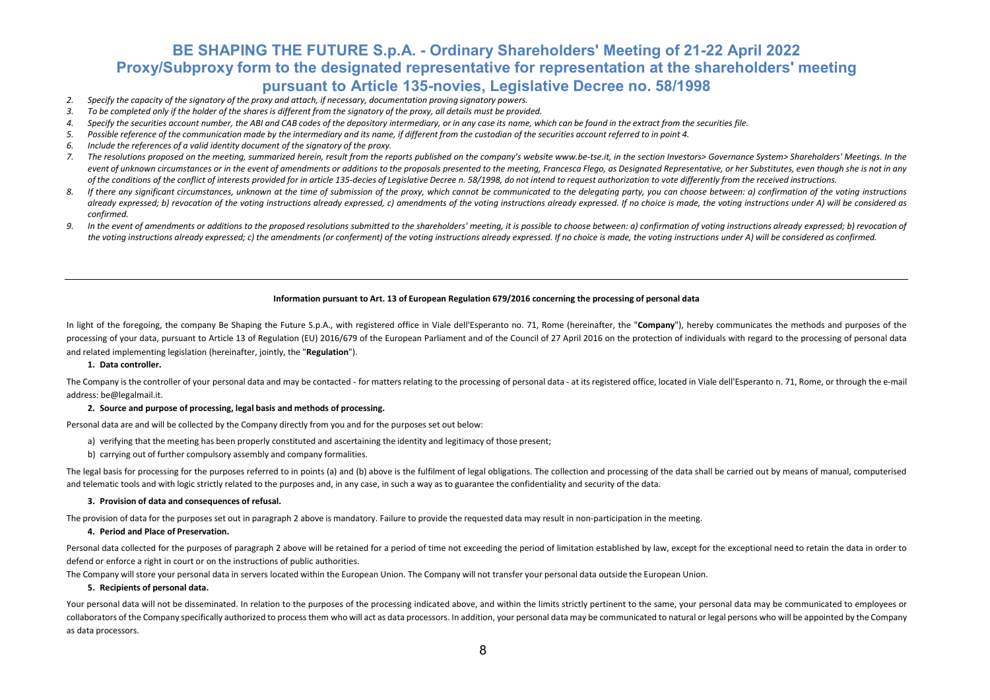- *2. Specify the capacity of the signatory of the proxy and attach, if necessary, documentation proving signatory powers.*
- 3. To be completed only if the holder of the shares is different from the signatory of the proxy, all details must be provided.
- 4. Specify the securities account number, the ABI and CAB codes of the depository intermediary, or in any case its name, which can be found in the extract from the securities file.
- 5. Possible reference of the communication made by the intermediary and its name, if different from the custodian of the securities account referred to in point 4.
- *6. Include the references of a valid identity document of the signatory of the proxy.*
- 7. The resolutions proposed on the meeting, summarized herein, result from the reports published on the company's websit[e www.be-tse.it, in](http://www.be-tse.it/) the section Investors> Governance System> Shareholders' Meetings. In the event of unknown circumstances or in the event of amendments or additions to the proposals presented to the meeting, Francesca Flego, as Desianated Representative, or her Substitutes, even though she is not in any of the conditions of the conflict of interests provided for in article 135-decies of Legislative Decree n. 58/1998, do not intend to request authorization to vote differently from the received instructions.
- 8. If there any significant circumstances, unknown at the time of submission of the proxy, which cannot be communicated to the delegating party, you can choose between; a) confirmation of the voting instructions *already expressed; b) revocation of the voting instructions already expressed, c) amendments of the voting instructions already expressed. If no choice is made, the voting instructions under A) will be considered as confirmed.*
- 9. In the event of amendments or additions to the proposed resolutions submitted to the shareholders' meeting, it is possible to choose between: a) confirmation of voting instructions already expressed; b) revocation of the voting instructions already expressed; c) the amendments (or conferment) of the voting instructions already expressed. If no choice is made, the voting instructions under A) will be considered as confirmed.

#### **Information pursuant to Art. 13 of European Regulation 679/2016 concerning the processing of personal data**

In light of the foregoing, the company Be Shaping the Future S.p.A., with registered office in Viale dell'Esperanto no. 71, Rome (hereinafter, the "Company"), hereby communicates the methods and purposes of the processing of your data, pursuant to Article 13 of Regulation (EU) 2016/679 of the European Parliament and of the Council of 27 April 2016 on the protection of individuals with regard to the processing of personal data and related implementing legislation (hereinafter, jointly, the "**Regulation**").

#### **1. Data controller.**

The Company is the controller of your personal data and may be contacted - for matters relating to the processing of personal data - at its registered office, located in Viale dell'Esperanto n. 71, Rome, or through the e-m address: [be@legalmail.it.](mailto:be@legalmail.it)

#### **2. Source and purpose of processing, legal basis and methods of processing.**

Personal data are and will be collected by the Company directly from you and for the purposes set out below:

- a) verifying that the meeting has been properly constituted and ascertaining the identity and legitimacy of those present;
- b) carrying out of further compulsory assembly and company formalities.

The legal basis for processing for the purposes referred to in points (a) and (b) above is the fulfilment of legal obligations. The collection and processing of the data shall be carried out by means of manual, computerise and telematic tools and with logic strictly related to the purposes and, in any case, in such a way as to guarantee the confidentiality and security of the data.

#### **3. Provision of data and consequences of refusal.**

The provision of data for the purposes set out in paragraph 2 above is mandatory. Failure to provide the requested data may result in non-participation in the meeting.

**4. Period and Place of Preservation.**

Personal data collected for the purposes of paragraph 2 above will be retained for a period of time not exceeding the period of limitation established by law, except for the exceptional need to retain the data in order to defend or enforce a right in court or on the instructions of public authorities.

The Company will store your personal data in servers located within the European Union. The Company will not transfer your personal data outside the European Union.

#### **5. Recipients of personal data.**

Your personal data will not be disseminated. In relation to the purposes of the processing indicated above, and within the limits strictly pertinent to the same, your personal data may be communicated to employees or collaborators of the Company specifically authorized to process them who will act as data processors. In addition, your personal data may be communicated to natural or legal persons who will be appointed by the Company as data processors.